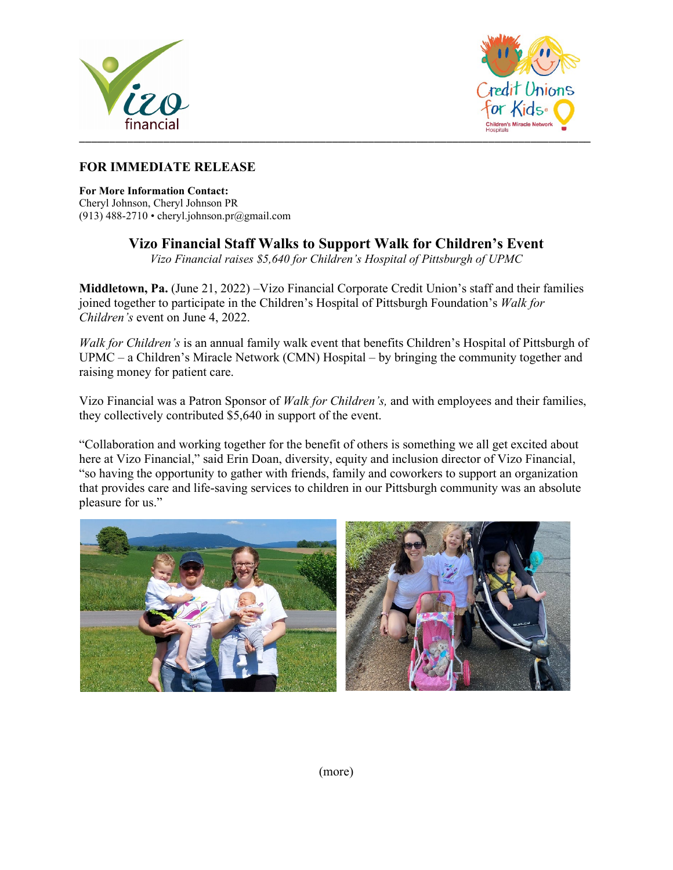



## **FOR IMMEDIATE RELEASE**

**For More Information Contact:** Cheryl Johnson, Cheryl Johnson PR (913) 488-2710 • cheryl.johnson.pr@gmail.com

## **Vizo Financial Staff Walks to Support Walk for Children's Event**

*Vizo Financial raises \$5,640 for Children's Hospital of Pittsburgh of UPMC*

**Middletown, Pa.** (June 21, 2022) –Vizo Financial Corporate Credit Union's staff and their families joined together to participate in the Children's Hospital of Pittsburgh Foundation's *Walk for Children's* event on June 4, 2022.

*Walk for Children's* is an annual family walk event that benefits Children's Hospital of Pittsburgh of UPMC – a Children's Miracle Network (CMN) Hospital – by bringing the community together and raising money for patient care.

Vizo Financial was a Patron Sponsor of *Walk for Children's,* and with employees and their families, they collectively contributed \$5,640 in support of the event.

"Collaboration and working together for the benefit of others is something we all get excited about here at Vizo Financial," said Erin Doan, diversity, equity and inclusion director of Vizo Financial, "so having the opportunity to gather with friends, family and coworkers to support an organization that provides care and life-saving services to children in our Pittsburgh community was an absolute pleasure for us."